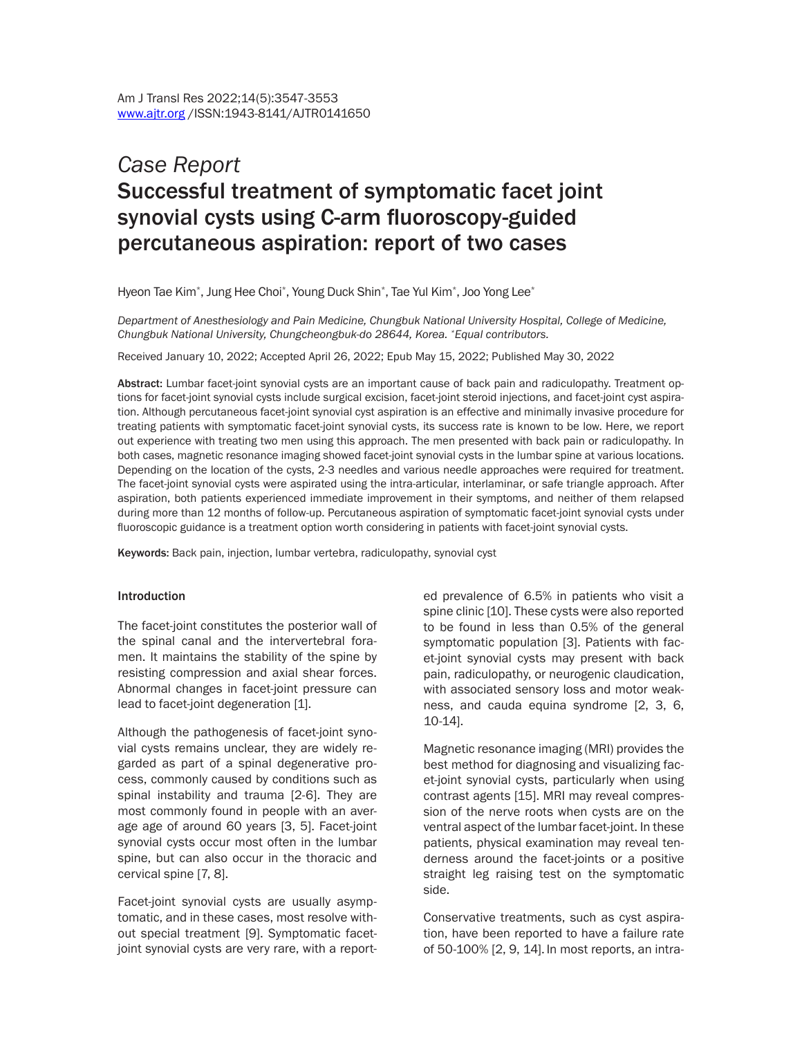# *Case Report* Successful treatment of symptomatic facet joint synovial cysts using C-arm fluoroscopy-guided percutaneous aspiration: report of two cases

Hyeon Tae Kim\* , Jung Hee Choi\* , Young Duck Shin\* , Tae Yul Kim\* , Joo Yong Lee\*

*Department of Anesthesiology and Pain Medicine, Chungbuk National University Hospital, College of Medicine, Chungbuk National University, Chungcheongbuk-do 28644, Korea. \*Equal contributors.*

Received January 10, 2022; Accepted April 26, 2022; Epub May 15, 2022; Published May 30, 2022

Abstract: Lumbar facet-joint synovial cysts are an important cause of back pain and radiculopathy. Treatment options for facet-joint synovial cysts include surgical excision, facet-joint steroid injections, and facet-joint cyst aspiration. Although percutaneous facet-joint synovial cyst aspiration is an effective and minimally invasive procedure for treating patients with symptomatic facet-joint synovial cysts, its success rate is known to be low. Here, we report out experience with treating two men using this approach. The men presented with back pain or radiculopathy. In both cases, magnetic resonance imaging showed facet-joint synovial cysts in the lumbar spine at various locations. Depending on the location of the cysts, 2-3 needles and various needle approaches were required for treatment. The facet-joint synovial cysts were aspirated using the intra-articular, interlaminar, or safe triangle approach. After aspiration, both patients experienced immediate improvement in their symptoms, and neither of them relapsed during more than 12 months of follow-up. Percutaneous aspiration of symptomatic facet-joint synovial cysts under fluoroscopic guidance is a treatment option worth considering in patients with facet-joint synovial cysts.

Keywords: Back pain, injection, lumbar vertebra, radiculopathy, synovial cyst

#### Introduction

The facet-joint constitutes the posterior wall of the spinal canal and the intervertebral foramen. It maintains the stability of the spine by resisting compression and axial shear forces. Abnormal changes in facet-joint pressure can lead to facet-joint degeneration [1].

Although the pathogenesis of facet-joint synovial cysts remains unclear, they are widely regarded as part of a spinal degenerative process, commonly caused by conditions such as spinal instability and trauma [2-6]. They are most commonly found in people with an average age of around 60 years [3, 5]. Facet-joint synovial cysts occur most often in the lumbar spine, but can also occur in the thoracic and cervical spine [7, 8].

Facet-joint synovial cysts are usually asymptomatic, and in these cases, most resolve without special treatment [9]. Symptomatic facetjoint synovial cysts are very rare, with a reported prevalence of 6.5% in patients who visit a spine clinic [10]. These cysts were also reported to be found in less than 0.5% of the general symptomatic population [3]. Patients with facet-joint synovial cysts may present with back pain, radiculopathy, or neurogenic claudication, with associated sensory loss and motor weakness, and cauda equina syndrome [2, 3, 6, 10-14].

Magnetic resonance imaging (MRI) provides the best method for diagnosing and visualizing facet-joint synovial cysts, particularly when using contrast agents [15]. MRI may reveal compression of the nerve roots when cysts are on the ventral aspect of the lumbar facet-joint. In these patients, physical examination may reveal tenderness around the facet-joints or a positive straight leg raising test on the symptomatic side.

Conservative treatments, such as cyst aspiration, have been reported to have a failure rate of 50-100% [2, 9, 14]. In most reports, an intra-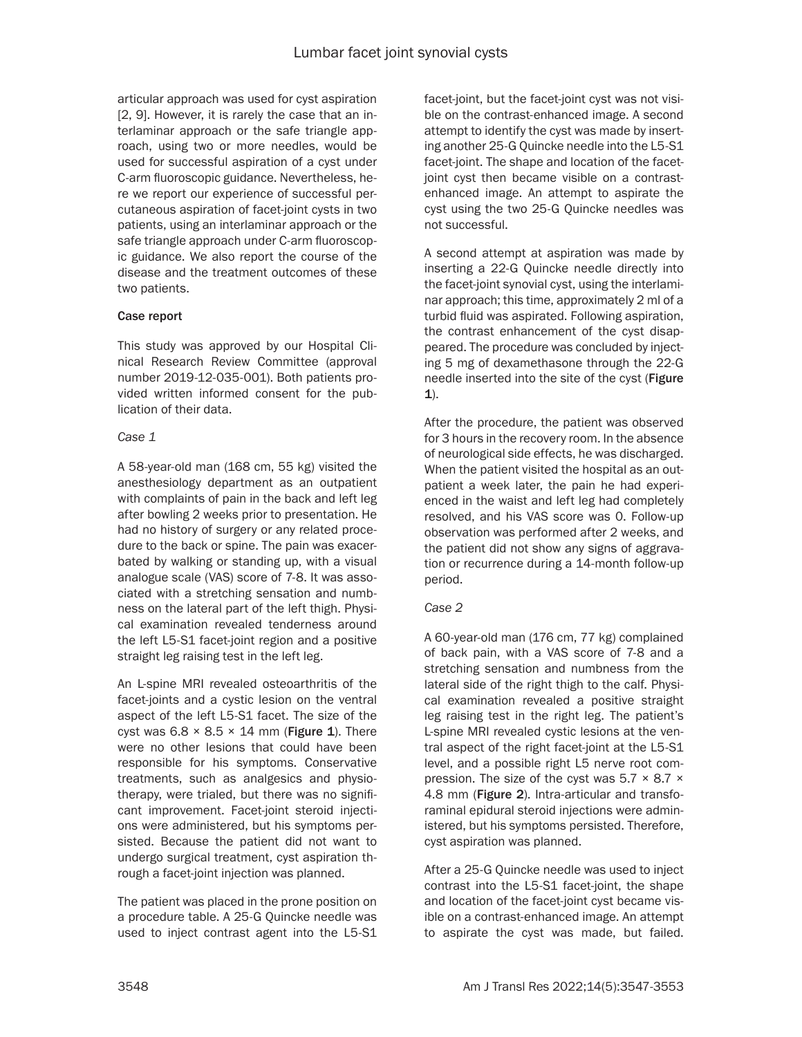articular approach was used for cyst aspiration [2, 9]. However, it is rarely the case that an interlaminar approach or the safe triangle approach, using two or more needles, would be used for successful aspiration of a cyst under C-arm fluoroscopic guidance. Nevertheless, here we report our experience of successful percutaneous aspiration of facet-joint cysts in two patients, using an interlaminar approach or the safe triangle approach under C-arm fluoroscopic guidance. We also report the course of the disease and the treatment outcomes of these two patients.

## Case report

This study was approved by our Hospital Clinical Research Review Committee (approval number 2019-12-035-001). Both patients provided written informed consent for the publication of their data.

## *Case 1*

A 58-year-old man (168 cm, 55 kg) visited the anesthesiology department as an outpatient with complaints of pain in the back and left leg after bowling 2 weeks prior to presentation. He had no history of surgery or any related procedure to the back or spine. The pain was exacerbated by walking or standing up, with a visual analogue scale (VAS) score of 7-8. It was associated with a stretching sensation and numbness on the lateral part of the left thigh. Physical examination revealed tenderness around the left L5-S1 facet-joint region and a positive straight leg raising test in the left leg.

An L-spine MRI revealed osteoarthritis of the facet-joints and a cystic lesion on the ventral aspect of the left L5-S1 facet. The size of the cyst was  $6.8 \times 8.5 \times 14$  mm (Figure 1). There were no other lesions that could have been responsible for his symptoms. Conservative treatments, such as analgesics and physiotherapy, were trialed, but there was no significant improvement. Facet-joint steroid injections were administered, but his symptoms persisted. Because the patient did not want to undergo surgical treatment, cyst aspiration through a facet-joint injection was planned.

The patient was placed in the prone position on a procedure table. A 25-G Quincke needle was used to inject contrast agent into the L5-S1

facet-joint, but the facet-joint cyst was not visible on the contrast-enhanced image. A second attempt to identify the cyst was made by inserting another 25-G Quincke needle into the L5-S1 facet-joint. The shape and location of the facetjoint cyst then became visible on a contrastenhanced image. An attempt to aspirate the cyst using the two 25-G Quincke needles was not successful.

A second attempt at aspiration was made by inserting a 22-G Quincke needle directly into the facet-joint synovial cyst, using the interlaminar approach; this time, approximately 2 ml of a turbid fluid was aspirated. Following aspiration, the contrast enhancement of the cyst disappeared. The procedure was concluded by injecting 5 mg of dexamethasone through the 22-G needle inserted into the site of the cyst (Figure  $1$ ).

After the procedure, the patient was observed for 3 hours in the recovery room. In the absence of neurological side effects, he was discharged. When the patient visited the hospital as an outpatient a week later, the pain he had experienced in the waist and left leg had completely resolved, and his VAS score was 0. Follow-up observation was performed after 2 weeks, and the patient did not show any signs of aggravation or recurrence during a 14-month follow-up period.

## *Case 2*

A 60-year-old man (176 cm, 77 kg) complained of back pain, with a VAS score of 7-8 and a stretching sensation and numbness from the lateral side of the right thigh to the calf. Physical examination revealed a positive straight leg raising test in the right leg. The patient's L-spine MRI revealed cystic lesions at the ventral aspect of the right facet-joint at the L5-S1 level, and a possible right L5 nerve root compression. The size of the cyst was  $5.7 \times 8.7 \times$ 4.8 mm (Figure 2). Intra-articular and transforaminal epidural steroid injections were administered, but his symptoms persisted. Therefore, cyst aspiration was planned.

After a 25-G Quincke needle was used to inject contrast into the L5-S1 facet-joint, the shape and location of the facet-joint cyst became visible on a contrast-enhanced image. An attempt to aspirate the cyst was made, but failed.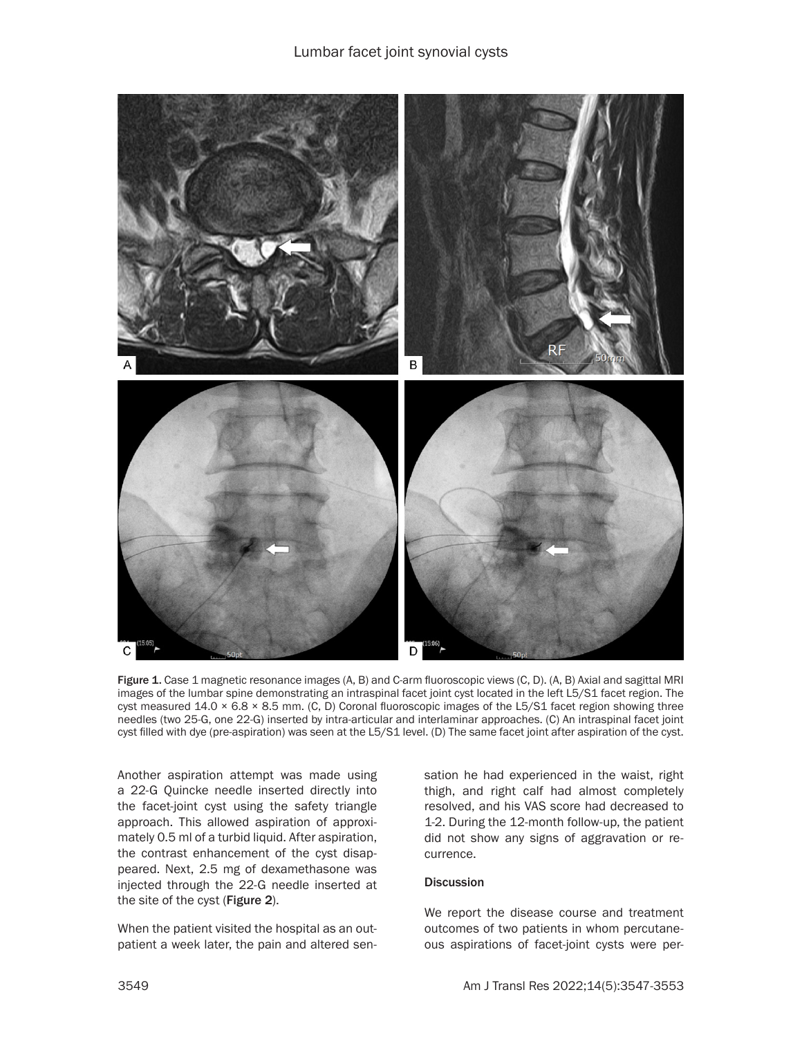

Figure 1. Case 1 magnetic resonance images (A, B) and C-arm fluoroscopic views (C, D). (A, B) Axial and sagittal MRI images of the lumbar spine demonstrating an intraspinal facet joint cyst located in the left L5/S1 facet region. The cyst measured 14.0 × 6.8 × 8.5 mm. (C, D) Coronal fluoroscopic images of the L5/S1 facet region showing three needles (two 25-G, one 22-G) inserted by intra-articular and interlaminar approaches. (C) An intraspinal facet joint cyst filled with dye (pre-aspiration) was seen at the L5/S1 level. (D) The same facet joint after aspiration of the cyst.

Another aspiration attempt was made using a 22-G Quincke needle inserted directly into the facet-joint cyst using the safety triangle approach. This allowed aspiration of approximately 0.5 ml of a turbid liquid. After aspiration, the contrast enhancement of the cyst disappeared. Next, 2.5 mg of dexamethasone was injected through the 22-G needle inserted at the site of the cyst (Figure 2).

When the patient visited the hospital as an outpatient a week later, the pain and altered sensation he had experienced in the waist, right thigh, and right calf had almost completely resolved, and his VAS score had decreased to 1-2. During the 12-month follow-up, the patient did not show any signs of aggravation or recurrence.

## **Discussion**

We report the disease course and treatment outcomes of two patients in whom percutaneous aspirations of facet-joint cysts were per-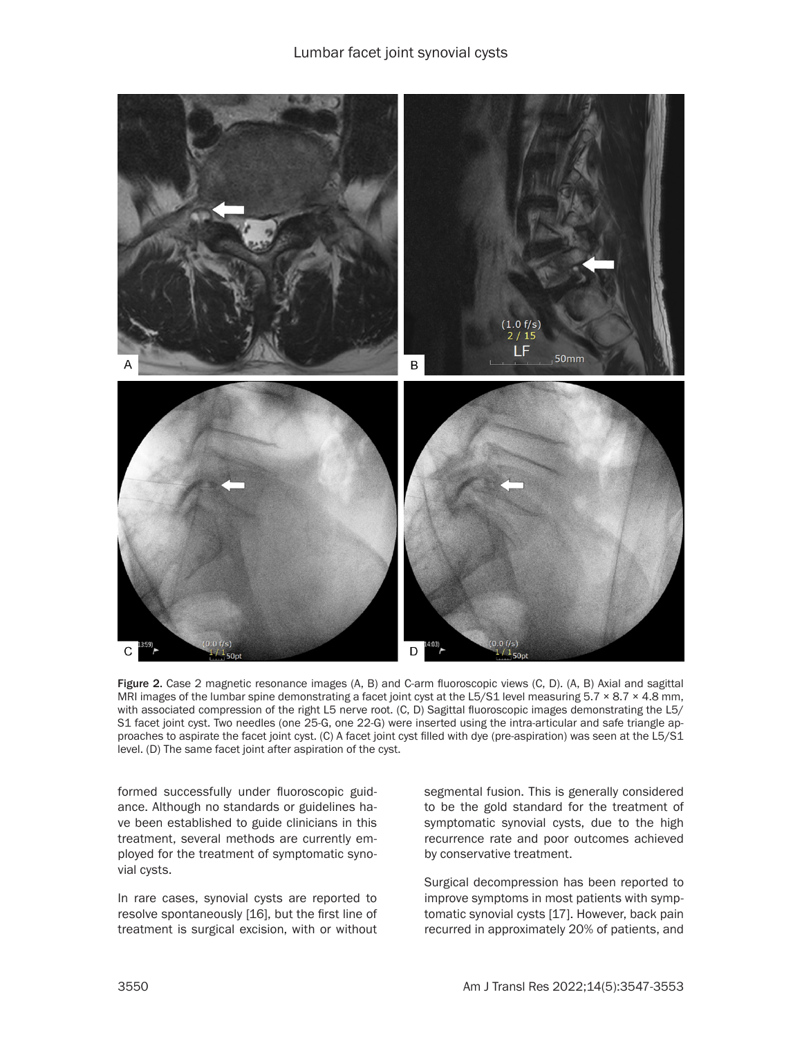

Figure 2. Case 2 magnetic resonance images (A, B) and C-arm fluoroscopic views (C, D). (A, B) Axial and sagittal MRI images of the lumbar spine demonstrating a facet joint cyst at the L5/S1 level measuring  $5.7 \times 8.7 \times 4.8$  mm, with associated compression of the right L5 nerve root. (C, D) Sagittal fluoroscopic images demonstrating the L5/ S1 facet joint cyst. Two needles (one 25-G, one 22-G) were inserted using the intra-articular and safe triangle approaches to aspirate the facet joint cyst. (C) A facet joint cyst filled with dye (pre-aspiration) was seen at the L5/S1 level. (D) The same facet joint after aspiration of the cyst.

formed successfully under fluoroscopic guidance. Although no standards or guidelines have been established to guide clinicians in this treatment, several methods are currently employed for the treatment of symptomatic synovial cysts.

In rare cases, synovial cysts are reported to resolve spontaneously [16], but the first line of treatment is surgical excision, with or without segmental fusion. This is generally considered to be the gold standard for the treatment of symptomatic synovial cysts, due to the high recurrence rate and poor outcomes achieved by conservative treatment.

Surgical decompression has been reported to improve symptoms in most patients with symptomatic synovial cysts [17]. However, back pain recurred in approximately 20% of patients, and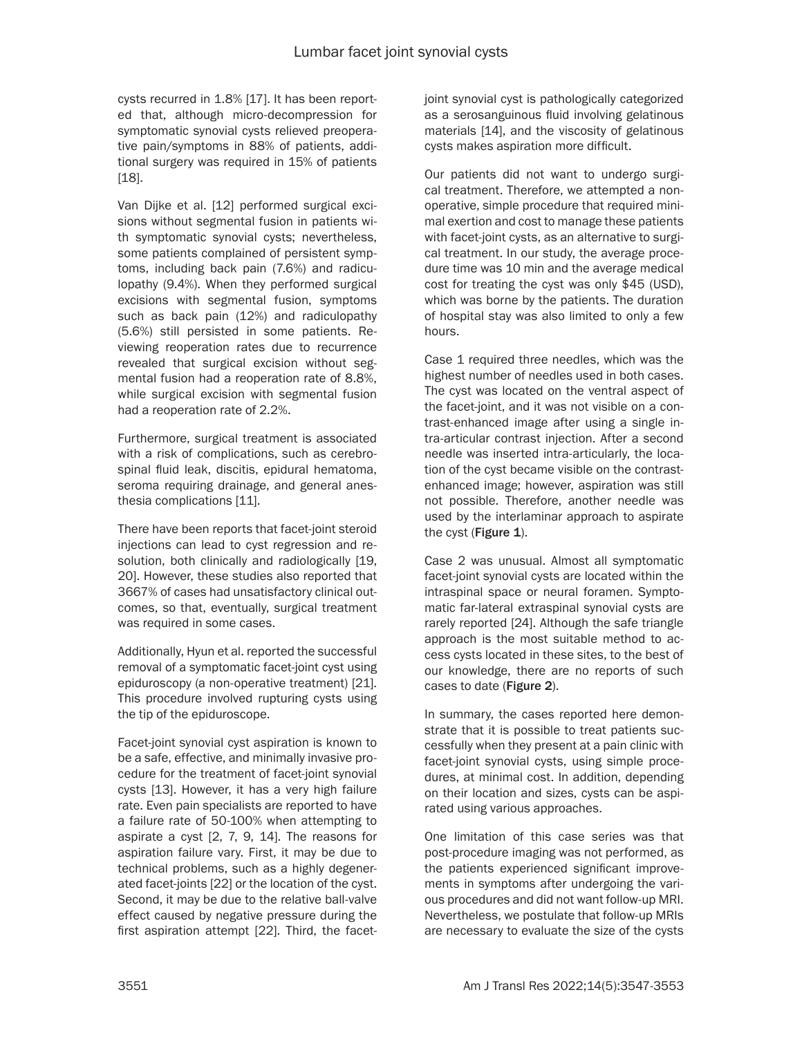cysts recurred in 1.8% [17]. It has been reported that, although micro-decompression for symptomatic synovial cysts relieved preoperative pain/symptoms in 88% of patients, additional surgery was required in 15% of patients [18].

Van Dijke et al. [12] performed surgical excisions without segmental fusion in patients with symptomatic synovial cysts; nevertheless, some patients complained of persistent symptoms, including back pain (7.6%) and radiculopathy (9.4%). When they performed surgical excisions with segmental fusion, symptoms such as back pain (12%) and radiculopathy (5.6%) still persisted in some patients. Reviewing reoperation rates due to recurrence revealed that surgical excision without segmental fusion had a reoperation rate of 8.8%, while surgical excision with segmental fusion had a reoperation rate of 2.2%.

Furthermore, surgical treatment is associated with a risk of complications, such as cerebrospinal fluid leak, discitis, epidural hematoma, seroma requiring drainage, and general anesthesia complications [11].

There have been reports that facet-joint steroid injections can lead to cyst regression and resolution, both clinically and radiologically [19, 20]. However, these studies also reported that 3667% of cases had unsatisfactory clinical outcomes, so that, eventually, surgical treatment was required in some cases.

Additionally, Hyun et al. reported the successful removal of a symptomatic facet-joint cyst using epiduroscopy (a non-operative treatment) [21]. This procedure involved rupturing cysts using the tip of the epiduroscope.

Facet-joint synovial cyst aspiration is known to be a safe, effective, and minimally invasive procedure for the treatment of facet-joint synovial cysts [13]. However, it has a very high failure rate. Even pain specialists are reported to have a failure rate of 50-100% when attempting to aspirate a cyst [2, 7, 9, 14]. The reasons for aspiration failure vary. First, it may be due to technical problems, such as a highly degenerated facet-joints [22] or the location of the cyst. Second, it may be due to the relative ball-valve effect caused by negative pressure during the first aspiration attempt [22]. Third, the facetjoint synovial cyst is pathologically categorized as a serosanguinous fluid involving gelatinous materials [14], and the viscosity of gelatinous cysts makes aspiration more difficult.

Our patients did not want to undergo surgical treatment. Therefore, we attempted a nonoperative, simple procedure that required minimal exertion and cost to manage these patients with facet-joint cysts, as an alternative to surgical treatment. In our study, the average procedure time was 10 min and the average medical cost for treating the cyst was only \$45 (USD), which was borne by the patients. The duration of hospital stay was also limited to only a few hours.

Case 1 required three needles, which was the highest number of needles used in both cases. The cyst was located on the ventral aspect of the facet-joint, and it was not visible on a contrast-enhanced image after using a single intra-articular contrast injection. After a second needle was inserted intra-articularly, the location of the cyst became visible on the contrastenhanced image; however, aspiration was still not possible. Therefore, another needle was used by the interlaminar approach to aspirate the cyst (Figure  $1$ ).

Case 2 was unusual. Almost all symptomatic facet-joint synovial cysts are located within the intraspinal space or neural foramen. Symptomatic far-lateral extraspinal synovial cysts are rarely reported [24]. Although the safe triangle approach is the most suitable method to access cysts located in these sites, to the best of our knowledge, there are no reports of such cases to date (Figure 2).

In summary, the cases reported here demonstrate that it is possible to treat patients successfully when they present at a pain clinic with facet-joint synovial cysts, using simple procedures, at minimal cost. In addition, depending on their location and sizes, cysts can be aspirated using various approaches.

One limitation of this case series was that post-procedure imaging was not performed, as the patients experienced significant improvements in symptoms after undergoing the various procedures and did not want follow-up MRI. Nevertheless, we postulate that follow-up MRIs are necessary to evaluate the size of the cysts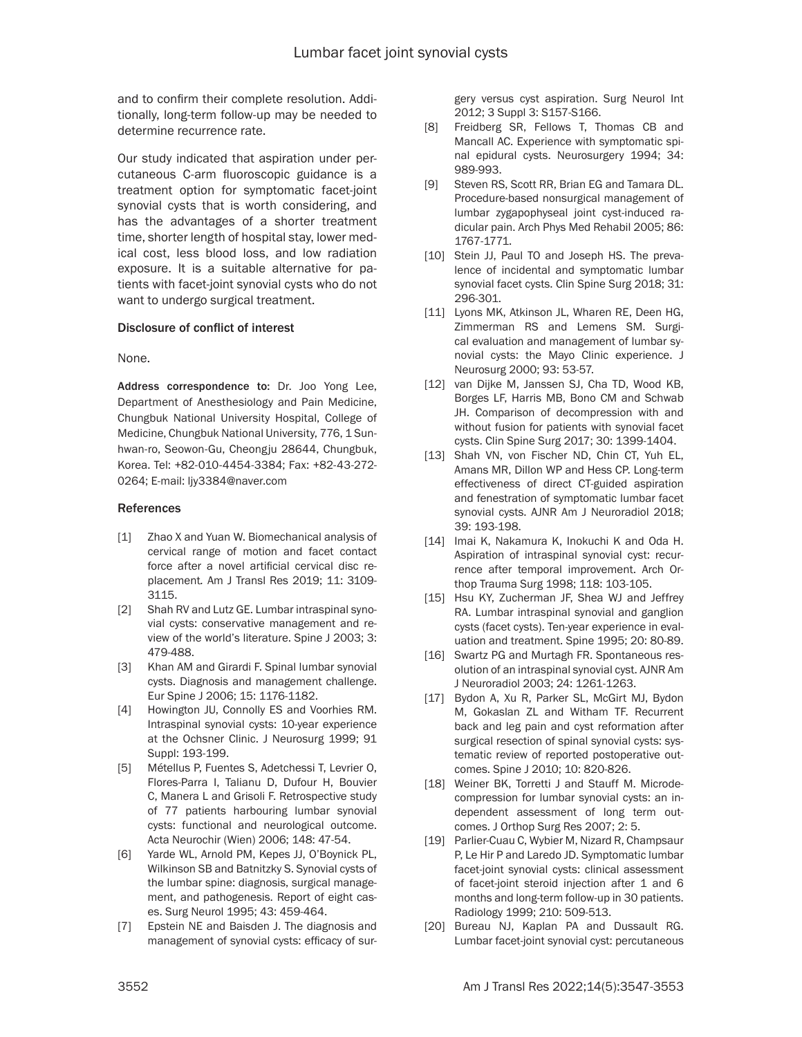and to confirm their complete resolution. Additionally, long-term follow-up may be needed to determine recurrence rate.

Our study indicated that aspiration under percutaneous C-arm fluoroscopic guidance is a treatment option for symptomatic facet-joint synovial cysts that is worth considering, and has the advantages of a shorter treatment time, shorter length of hospital stay, lower medical cost, less blood loss, and low radiation exposure. It is a suitable alternative for patients with facet-joint synovial cysts who do not want to undergo surgical treatment.

### Disclosure of conflict of interest

None.

Address correspondence to: Dr. Joo Yong Lee, Department of Anesthesiology and Pain Medicine, Chungbuk National University Hospital, College of Medicine, Chungbuk National University, 776, 1 Sunhwan-ro, Seowon-Gu, Cheongju 28644, Chungbuk, Korea. Tel: +82-010-4454-3384; Fax: +82-43-272- 0264; E-mail: ljy3384@naver.com

### References

- [1] Zhao X and Yuan W. Biomechanical analysis of cervical range of motion and facet contact force after a novel artificial cervical disc replacement*.* Am J Transl Res 2019; 11: 3109- 3115.
- [2] Shah RV and Lutz GE. Lumbar intraspinal synovial cysts: conservative management and review of the world's literature. Spine J 2003; 3: 479-488.
- [3] Khan AM and Girardi F. Spinal lumbar synovial cysts. Diagnosis and management challenge. Eur Spine J 2006; 15: 1176-1182.
- [4] Howington JU, Connolly ES and Voorhies RM. Intraspinal synovial cysts: 10-year experience at the Ochsner Clinic. J Neurosurg 1999; 91 Suppl: 193-199.
- [5] Métellus P, Fuentes S, Adetchessi T, Levrier O, Flores-Parra I, Talianu D, Dufour H, Bouvier C, Manera L and Grisoli F. Retrospective study of 77 patients harbouring lumbar synovial cysts: functional and neurological outcome. Acta Neurochir (Wien) 2006; 148: 47-54.
- [6] Yarde WL, Arnold PM, Kepes JJ, O'Boynick PL, Wilkinson SB and Batnitzky S. Synovial cysts of the lumbar spine: diagnosis, surgical management, and pathogenesis. Report of eight cases. Surg Neurol 1995; 43: 459-464.
- [7] Epstein NE and Baisden J. The diagnosis and management of synovial cysts: efficacy of sur-

gery versus cyst aspiration. Surg Neurol Int 2012; 3 Suppl 3: S157-S166.

- [8] Freidberg SR, Fellows T, Thomas CB and Mancall AC. Experience with symptomatic spinal epidural cysts. Neurosurgery 1994; 34: 989-993.
- [9] Steven RS, Scott RR, Brian EG and Tamara DL. Procedure-based nonsurgical management of lumbar zygapophyseal joint cyst-induced radicular pain. Arch Phys Med Rehabil 2005; 86: 1767-1771.
- [10] Stein JJ, Paul TO and Joseph HS. The prevalence of incidental and symptomatic lumbar synovial facet cysts. Clin Spine Surg 2018; 31: 296-301.
- [11] Lyons MK, Atkinson JL, Wharen RE, Deen HG, Zimmerman RS and Lemens SM. Surgical evaluation and management of lumbar synovial cysts: the Mayo Clinic experience. J Neurosurg 2000; 93: 53-57.
- [12] van Dijke M, Janssen SJ, Cha TD, Wood KB, Borges LF, Harris MB, Bono CM and Schwab JH. Comparison of decompression with and without fusion for patients with synovial facet cysts. Clin Spine Surg 2017; 30: 1399-1404.
- [13] Shah VN, von Fischer ND, Chin CT, Yuh EL, Amans MR, Dillon WP and Hess CP. Long-term effectiveness of direct CT-guided aspiration and fenestration of symptomatic lumbar facet synovial cysts. AJNR Am J Neuroradiol 2018; 39: 193-198.
- [14] Imai K, Nakamura K, Inokuchi K and Oda H. Aspiration of intraspinal synovial cyst: recurrence after temporal improvement. Arch Orthop Trauma Surg 1998; 118: 103-105.
- [15] Hsu KY, Zucherman JF, Shea WJ and Jeffrey RA. Lumbar intraspinal synovial and ganglion cysts (facet cysts). Ten-year experience in evaluation and treatment. Spine 1995; 20: 80-89.
- [16] Swartz PG and Murtagh FR. Spontaneous resolution of an intraspinal synovial cyst. AJNR Am J Neuroradiol 2003; 24: 1261-1263.
- [17] Bydon A, Xu R, Parker SL, McGirt MJ, Bydon M, Gokaslan ZL and Witham TF. Recurrent back and leg pain and cyst reformation after surgical resection of spinal synovial cysts: systematic review of reported postoperative outcomes. Spine J 2010; 10: 820-826.
- [18] Weiner BK, Torretti J and Stauff M. Microdecompression for lumbar synovial cysts: an independent assessment of long term outcomes. J Orthop Surg Res 2007; 2: 5.
- [19] Parlier-Cuau C, Wybier M, Nizard R, Champsaur P, Le Hir P and Laredo JD. Symptomatic lumbar facet-joint synovial cysts: clinical assessment of facet-joint steroid injection after 1 and 6 months and long-term follow-up in 30 patients. Radiology 1999; 210: 509-513.
- [20] Bureau NJ, Kaplan PA and Dussault RG. Lumbar facet-joint synovial cyst: percutaneous